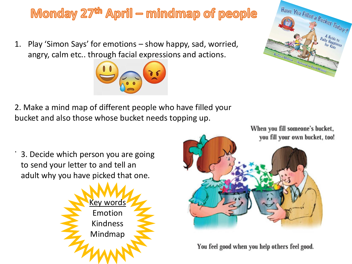#### Monday  $27<sup>th</sup>$  April – mindmap of people

1. Play 'Simon Says' for emotions – show happy, sad, worried, angry, calm etc.. through facial expressions and actions.



2. Make a mind map of different people who have filled your bucket and also those whose bucket needs topping up.

3. Decide which person you are going to send your letter to and tell an adult why you have picked that one.

.





You feel good when you help others feel good.

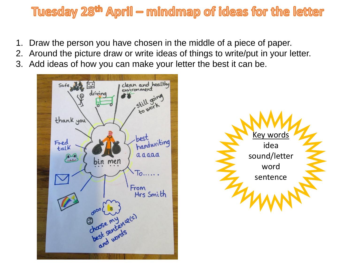#### Tuesday 28<sup>th</sup> April – mindmap of ideas for the letter

- 1. Draw the person you have chosen in the middle of a piece of paper.
- 2. Around the picture draw or write ideas of things to write/put in your letter.
- 3. Add ideas of how you can make your letter the best it can be.

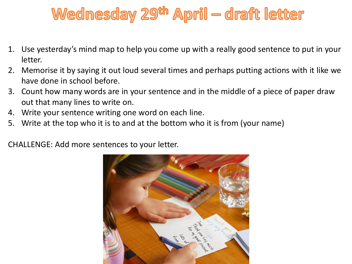## Wednesday 29th April — draft letter

- 1. Use yesterday's mind map to help you come up with a really good sentence to put in your letter.
- 2. Memorise it by saying it out loud several times and perhaps putting actions with it like we have done in school before.
- 3. Count how many words are in your sentence and in the middle of a piece of paper draw out that many lines to write on.
- 4. Write your sentence writing one word on each line.
- 5. Write at the top who it is to and at the bottom who it is from (your name)

CHALLENGE: Add more sentences to your letter.

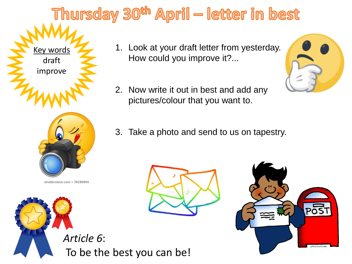# Thursday 30<sup>th</sup> April — letter in best



shutterstock.com · 78180904



- 1. Look at your draft letter from yesterday. How could you improve it?...
- 2. Now write it out in best and add any pictures/colour that you want to.
- 3. Take a photo and send to us on tapestry.